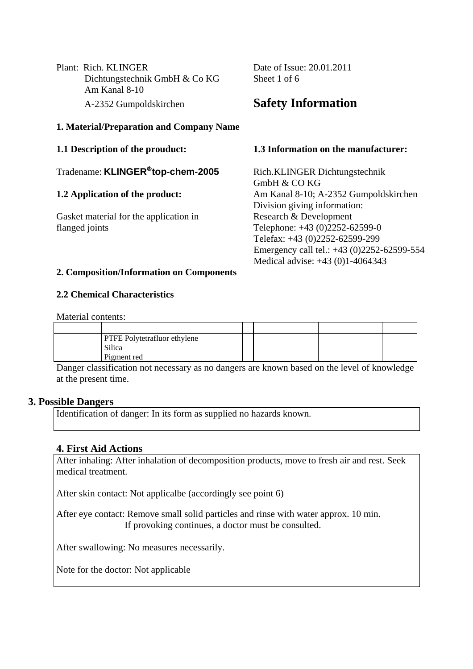Plant: Rich. KLINGER Date of Issue: 20.01.2011 Dichtungstechnik GmbH & Co KG Sheet 1 of 6 Am Kanal 8-10 A-2352 Gumpoldskirchen **Safety Information**

#### **1. Material/Preparation and Company Name**

Tradename: **KLINGER**®**top-chem-2005** Rich.KLINGER Dichtungstechnik

Gasket material for the application in Research & Development flanged joints Telephone: +43 (0)2252-62599-0

#### **1.1 Description of the prouduct: 1.3 Information on the manufacturer:**

GmbH & CO KG **1.2 Application of the product:** Am Kanal 8-10; A-2352 Gumpoldskirchen Division giving information: Telefax: +43 (0)2252-62599-299 Emergency call tel.: +43 (0)2252-62599-554 Medical advise: +43 (0)1-4064343

#### **2. Composition/Information on Components**

## **2.2 Chemical Characteristics**

Material contents:

| <b>PTFE Polytetrafluor ethylene</b><br>Silica<br>Pigment red |  |  |
|--------------------------------------------------------------|--|--|
|                                                              |  |  |

Danger classification not necessary as no dangers are known based on the level of knowledge at the present time.

## **3. Possible Dangers**

Identification of danger: In its form as supplied no hazards known.

## **4. First Aid Actions**

After inhaling: After inhalation of decomposition products, move to fresh air and rest. Seek medical treatment.

After skin contact: Not applicalbe (accordingly see point 6)

After eye contact: Remove small solid particles and rinse with water approx. 10 min. If provoking continues, a doctor must be consulted.

After swallowing: No measures necessarily.

Note for the doctor: Not applicable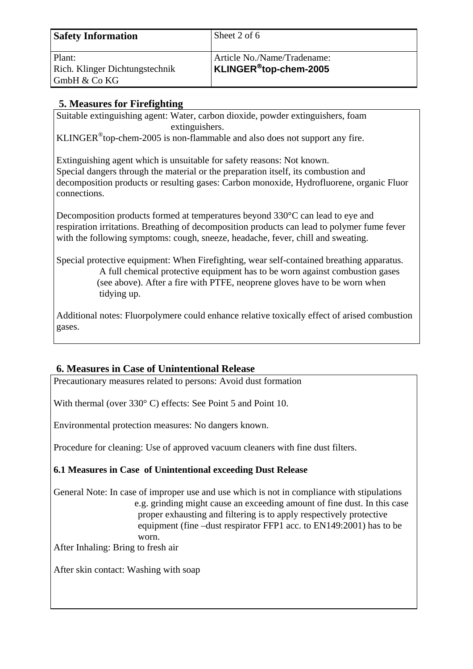| <b>Safety Information</b>                                | Sheet 2 of 6                                         |
|----------------------------------------------------------|------------------------------------------------------|
| Plant:<br>Rich. Klinger Dichtungstechnik<br>GmbH & Co KG | Article No./Name/Tradename:<br>KLINGER®top-chem-2005 |

# **5. Measures for Firefighting**

Suitable extinguishing agent: Water, carbon dioxide, powder extinguishers, foam extinguishers.

KLINGER<sup>®</sup>top-chem-2005 is non-flammable and also does not support any fire.

Extinguishing agent which is unsuitable for safety reasons: Not known. Special dangers through the material or the preparation itself, its combustion and decomposition products or resulting gases: Carbon monoxide, Hydrofluorene, organic Fluor connections.

Decomposition products formed at temperatures beyond 330°C can lead to eye and respiration irritations. Breathing of decomposition products can lead to polymer fume fever with the following symptoms: cough, sneeze, headache, fever, chill and sweating.

Special protective equipment: When Firefighting, wear self-contained breathing apparatus. A full chemical protective equipment has to be worn against combustion gases (see above). After a fire with PTFE, neoprene gloves have to be worn when tidying up.

Additional notes: Fluorpolymere could enhance relative toxically effect of arised combustion gases.

# **6. Measures in Case of Unintentional Release**

Precautionary measures related to persons: Avoid dust formation

With thermal (over 330°C) effects: See Point 5 and Point 10.

Environmental protection measures: No dangers known.

Procedure for cleaning: Use of approved vacuum cleaners with fine dust filters.

## **6.1 Measures in Case of Unintentional exceeding Dust Release**

General Note: In case of improper use and use which is not in compliance with stipulations e.g. grinding might cause an exceeding amount of fine dust. In this case proper exhausting and filtering is to apply respectively protective equipment (fine –dust respirator FFP1 acc. to EN149:2001) has to be worn.

After Inhaling: Bring to fresh air

After skin contact: Washing with soap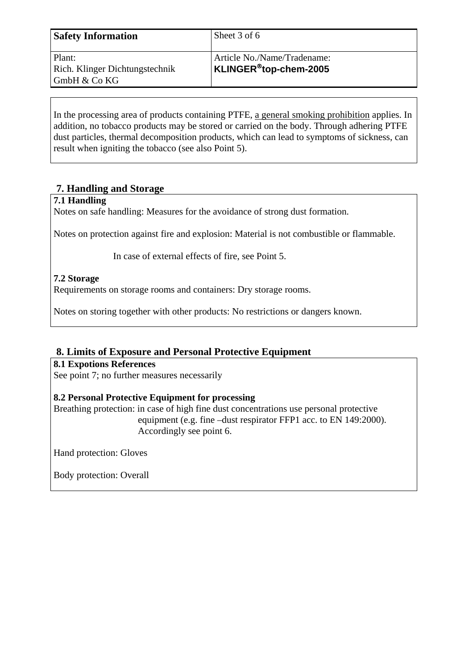| <b>Safety Information</b>                | Sheet 3 of 6                                                                               |
|------------------------------------------|--------------------------------------------------------------------------------------------|
| Plant:<br>Rich. Klinger Dichtungstechnik | Article No./Name/Tradename:<br>$\overline{\phantom{a}}$ KLINGER $^\circledR$ top-chem-2005 |
| GmbH & Co KG                             |                                                                                            |

In the processing area of products containing PTFE, a general smoking prohibition applies. In addition, no tobacco products may be stored or carried on the body. Through adhering PTFE dust particles, thermal decomposition products, which can lead to symptoms of sickness, can result when igniting the tobacco (see also Point 5).

## **7. Handling and Storage**

## **7.1 Handling**

Notes on safe handling: Measures for the avoidance of strong dust formation.

Notes on protection against fire and explosion: Material is not combustible or flammable.

In case of external effects of fire, see Point 5.

## **7.2 Storage**

Requirements on storage rooms and containers: Dry storage rooms.

Notes on storing together with other products: No restrictions or dangers known.

## **8. Limits of Exposure and Personal Protective Equipment**

## **8.1 Expotions References**

See point 7; no further measures necessarily

## **8.2 Personal Protective Equipment for processing**

Breathing protection: in case of high fine dust concentrations use personal protective equipment (e.g. fine –dust respirator FFP1 acc. to EN 149:2000). Accordingly see point 6.

Hand protection: Gloves

Body protection: Overall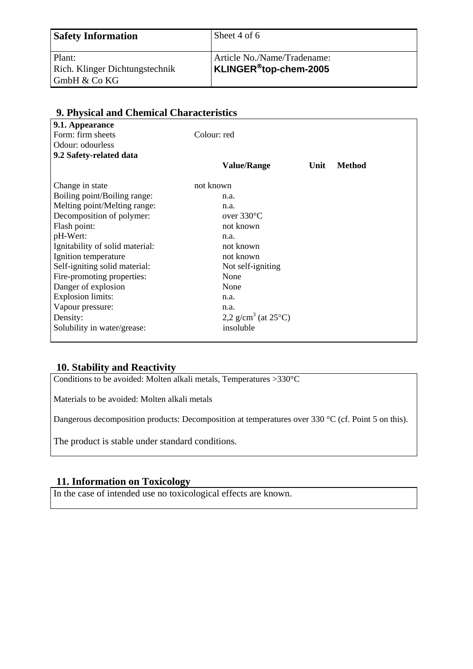| <b>Safety Information</b>                   | Sheet 4 of 6                |
|---------------------------------------------|-----------------------------|
| Plant:                                      | Article No./Name/Tradename: |
| Rich. Klinger Dichtungstechnik              | $KLINGER®top-chem-2005$     |
| $\mathsf{GmbH} \& \mathsf{Co}\,\mathsf{KG}$ |                             |

| 7. I hysical and Chemical Characteristics |                                           |      |               |  |
|-------------------------------------------|-------------------------------------------|------|---------------|--|
| 9.1. Appearance                           |                                           |      |               |  |
| Form: firm sheets                         | Colour: red                               |      |               |  |
| Odour: odourless                          |                                           |      |               |  |
| 9.2 Safety-related data                   |                                           |      |               |  |
|                                           | <b>Value/Range</b>                        | Unit | <b>Method</b> |  |
| Change in state                           | not known                                 |      |               |  |
| Boiling point/Boiling range:              | n.a.                                      |      |               |  |
| Melting point/Melting range:              | n.a.                                      |      |               |  |
| Decomposition of polymer:                 | over $330^{\circ}$ C                      |      |               |  |
| Flash point:                              | not known                                 |      |               |  |
| pH-Wert:                                  | n.a.                                      |      |               |  |
| Ignitability of solid material:           | not known                                 |      |               |  |
| Ignition temperature                      | not known                                 |      |               |  |
| Self-igniting solid material:             | Not self-igniting                         |      |               |  |
| Fire-promoting properties:                | None                                      |      |               |  |
| Danger of explosion                       | None                                      |      |               |  |
| <b>Explosion limits:</b>                  | n.a.                                      |      |               |  |
| Vapour pressure:                          | n.a.                                      |      |               |  |
| Density:                                  | 2,2 g/cm <sup>3</sup> (at $25^{\circ}$ C) |      |               |  |
| Solubility in water/grease:               | insoluble                                 |      |               |  |
|                                           |                                           |      |               |  |

## **9. Physical and Chemical Characteristics**

## **10. Stability and Reactivity**

Conditions to be avoided: Molten alkali metals, Temperatures >330°C

Materials to be avoided: Molten alkali metals

Dangerous decomposition products: Decomposition at temperatures over 330 °C (cf. Point 5 on this).

The product is stable under standard conditions.

## **11. Information on Toxicology**

In the case of intended use no toxicological effects are known.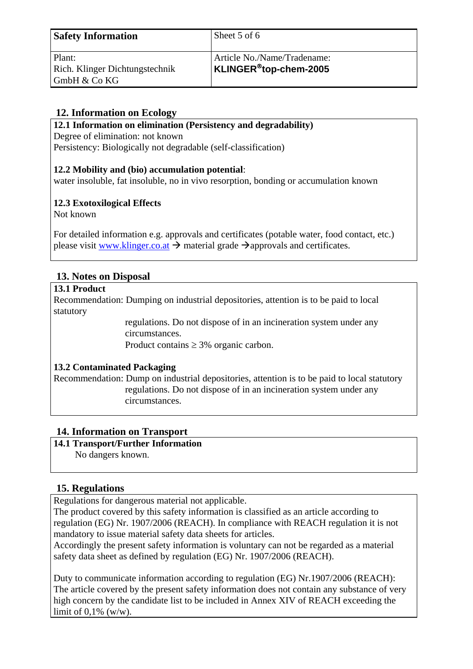| <b>Safety Information</b>                   | Sheet 5 of 6                |
|---------------------------------------------|-----------------------------|
| Plant:                                      | Article No./Name/Tradename: |
| Rich. Klinger Dichtungstechnik              | KLINGER®top-chem-2005       |
| $\mathsf{GmbH} \& \mathsf{Co}\,\mathsf{KG}$ |                             |

## **12. Information on Ecology**

**12.1 Information on elimination (Persistency and degradability)** 

Degree of elimination: not known

Persistency: Biologically not degradable (self-classification)

## **12.2 Mobility and (bio) accumulation potential**:

water insoluble, fat insoluble, no in vivo resorption, bonding or accumulation known

## **12.3 Exotoxilogical Effects**

Not known

For detailed information e.g. approvals and certificates (potable water, food contact, etc.) please visit www.klinger.co.at  $\rightarrow$  material grade  $\rightarrow$  approvals and certificates.

## **13. Notes on Disposal**

#### **13.1 Product**

Recommendation: Dumping on industrial depositories, attention is to be paid to local statutory

> regulations. Do not dispose of in an incineration system under any circumstances.

Product contains  $\geq$  3% organic carbon.

## **13.2 Contaminated Packaging**

Recommendation: Dump on industrial depositories, attention is to be paid to local statutory regulations. Do not dispose of in an incineration system under any circumstances.

## **14. Information on Transport**

## **14.1 Transport/Further Information**

No dangers known.

## **15. Regulations**

Regulations for dangerous material not applicable.

The product covered by this safety information is classified as an article according to regulation (EG) Nr. 1907/2006 (REACH). In compliance with REACH regulation it is not mandatory to issue material safety data sheets for articles.

Accordingly the present safety information is voluntary can not be regarded as a material safety data sheet as defined by regulation (EG) Nr. 1907/2006 (REACH).

Duty to communicate information according to regulation (EG) Nr.1907/2006 (REACH): The article covered by the present safety information does not contain any substance of very high concern by the candidate list to be included in Annex XIV of REACH exceeding the limit of  $0.1\%$  (w/w).